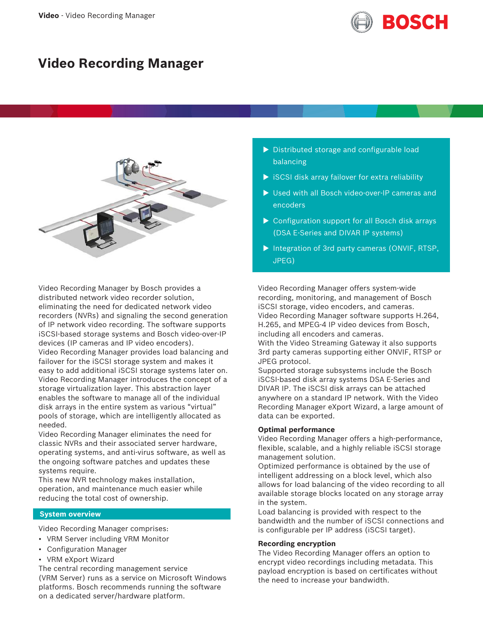

# **Video Recording Manager**



Video Recording Manager by Bosch provides a distributed network video recorder solution, eliminating the need for dedicated network video recorders (NVRs) and signaling the second generation of IP network video recording. The software supports iSCSI-based storage systems and Bosch video-over-IP devices (IP cameras and IP video encoders). Video Recording Manager provides load balancing and failover for the iSCSI storage system and makes it easy to add additional iSCSI storage systems later on. Video Recording Manager introduces the concept of a storage virtualization layer. This abstraction layer enables the software to manage all of the individual disk arrays in the entire system as various "virtual" pools of storage, which are intelligently allocated as needed.

Video Recording Manager eliminates the need for classic NVRs and their associated server hardware, operating systems, and anti-virus software, as well as the ongoing software patches and updates these systems require.

This new NVR technology makes installation, operation, and maintenance much easier while reducing the total cost of ownership.

#### **System overview**

Video Recording Manager comprises:

- VRM Server including VRM Monitor
- Configuration Manager
- VRM eXport Wizard

The central recording management service (VRM Server) runs as a service on Microsoft Windows platforms. Bosch recommends running the software on a dedicated server/hardware platform.

- $\triangleright$  Distributed storage and configurable load balancing
- $\triangleright$  iSCSI disk array failover for extra reliability
- $\blacktriangleright$  Used with all Bosch video-over-IP cameras and encoders
- $\triangleright$  Configuration support for all Bosch disk arrays (DSA E‑Series and DIVAR IP systems)
- $\triangleright$  Integration of 3rd party cameras (ONVIF, RTSP, JPEG)

Video Recording Manager offers system-wide recording, monitoring, and management of Bosch iSCSI storage, video encoders, and cameras. Video Recording Manager software supports H.264, H.265, and MPEG‑4 IP video devices from Bosch, including all encoders and cameras. With the Video Streaming Gateway it also supports 3rd party cameras supporting either ONVIF, RTSP or JPEG protocol.

Supported storage subsystems include the Bosch iSCSI-based disk array systems DSA E‑Series and DIVAR IP. The iSCSI disk arrays can be attached anywhere on a standard IP network. With the Video Recording Manager eXport Wizard, a large amount of data can be exported.

# **Optimal performance**

Video Recording Manager offers a high-performance, flexible, scalable, and a highly reliable iSCSI storage management solution.

Optimized performance is obtained by the use of intelligent addressing on a block level, which also allows for load balancing of the video recording to all available storage blocks located on any storage array in the system.

Load balancing is provided with respect to the bandwidth and the number of iSCSI connections and is configurable per IP address (iSCSI target).

#### **Recording encryption**

The Video Recording Manager offers an option to encrypt video recordings including metadata. This payload encryption is based on certificates without the need to increase your bandwidth.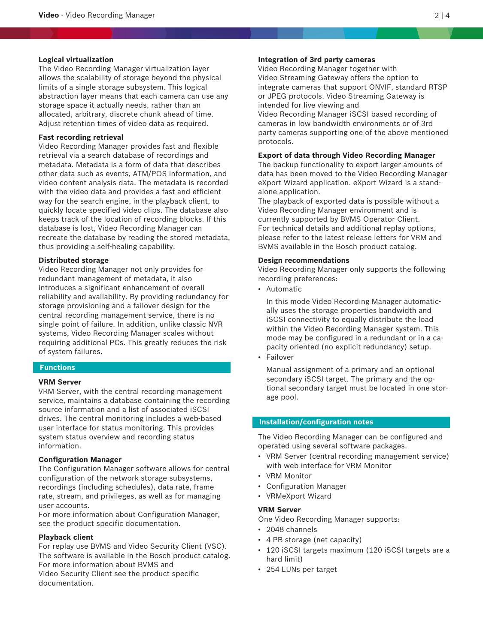## **Logical virtualization**

The Video Recording Manager virtualization layer allows the scalability of storage beyond the physical limits of a single storage subsystem. This logical abstraction layer means that each camera can use any storage space it actually needs, rather than an allocated, arbitrary, discrete chunk ahead of time. Adjust retention times of video data as required.

# **Fast recording retrieval**

Video Recording Manager provides fast and flexible retrieval via a search database of recordings and metadata. Metadata is a form of data that describes other data such as events, ATM/POS information, and video content analysis data. The metadata is recorded with the video data and provides a fast and efficient way for the search engine, in the playback client, to quickly locate specified video clips. The database also keeps track of the location of recording blocks. If this database is lost, Video Recording Manager can recreate the database by reading the stored metadata, thus providing a self-healing capability.

### **Distributed storage**

Video Recording Manager not only provides for redundant management of metadata, it also introduces a significant enhancement of overall reliability and availability. By providing redundancy for storage provisioning and a failover design for the central recording management service, there is no single point of failure. In addition, unlike classic NVR systems, Video Recording Manager scales without requiring additional PCs. This greatly reduces the risk of system failures.

#### **Functions**

#### **VRM Server**

VRM Server, with the central recording management service, maintains a database containing the recording source information and a list of associated iSCSI drives. The central monitoring includes a web-based user interface for status monitoring. This provides system status overview and recording status information.

#### **Configuration Manager**

The Configuration Manager software allows for central configuration of the network storage subsystems, recordings (including schedules), data rate, frame rate, stream, and privileges, as well as for managing user accounts.

For more information about Configuration Manager, see the product specific documentation.

### **Playback client**

For replay use BVMS and Video Security Client (VSC). The software is available in the Bosch product catalog. For more information about BVMS and Video Security Client see the product specific documentation.

# **Integration of 3rd party cameras**

Video Recording Manager together with Video Streaming Gateway offers the option to integrate cameras that support ONVIF, standard RTSP or JPEG protocols. Video Streaming Gateway is intended for live viewing and

Video Recording Manager iSCSI based recording of cameras in low bandwidth environments or of 3rd party cameras supporting one of the above mentioned protocols.

### **Export of data through Video Recording Manager**

The backup functionality to export larger amounts of data has been moved to the Video Recording Manager eXport Wizard application. eXport Wizard is a standalone application.

The playback of exported data is possible without a Video Recording Manager environment and is currently supported by BVMS Operator Client. For technical details and additional replay options, please refer to the latest release letters for VRM and BVMS available in the Bosch product catalog.

#### **Design recommendations**

Video Recording Manager only supports the following recording preferences:

• Automatic

In this mode Video Recording Manager automatically uses the storage properties bandwidth and iSCSI connectivity to equally distribute the load within the Video Recording Manager system. This mode may be configured in a redundant or in a capacity oriented (no explicit redundancy) setup.

• Failover

Manual assignment of a primary and an optional secondary iSCSI target. The primary and the optional secondary target must be located in one storage pool.

# **Installation/configuration notes**

The Video Recording Manager can be configured and operated using several software packages.

- VRM Server (central recording management service) with web interface for VRM Monitor
- VRM Monitor
- Configuration Manager
- VRMeXport Wizard

### **VRM Server**

One Video Recording Manager supports:

- 2048 channels
- 4 PB storage (net capacity)
- 120 iSCSI targets maximum (120 iSCSI targets are a hard limit)
- 254 LUNs per target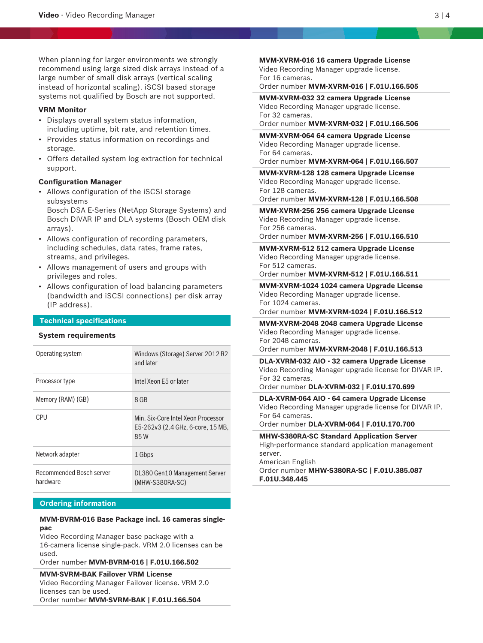When planning for larger environments we strongly recommend using large sized disk arrays instead of a large number of small disk arrays (vertical scaling instead of horizontal scaling). iSCSI based storage systems not qualified by Bosch are not supported.

#### **VRM Monitor**

- Displays overall system status information, including uptime, bit rate, and retention times.
- Provides status information on recordings and storage.
- Offers detailed system log extraction for technical support.

# **Configuration Manager**

• Allows configuration of the iSCSI storage subsystems Bosch DSA E‑Series (NetApp Storage Systems) and

Bosch DIVAR IP and DLA systems (Bosch OEM disk arrays).

- Allows configuration of recording parameters, including schedules, data rates, frame rates, streams, and privileges.
- Allows management of users and groups with privileges and roles.
- Allows configuration of load balancing parameters (bandwidth and iSCSI connections) per disk array (IP address).

# **Technical specifications**

#### **System requirements**

| Operating system                            | Windows (Storage) Server 2012 R2<br>and later                                   |
|---------------------------------------------|---------------------------------------------------------------------------------|
| Processor type                              | Intel Xeon F5 or later                                                          |
| Memory (RAM) (GB)                           | 8 GB                                                                            |
| CPU                                         | Min. Six-Core Intel Xeon Processor<br>E5-262v3 (2.4 GHz, 6-core, 15 MB,<br>85 W |
| Network adapter                             | 1 Gbps                                                                          |
| <b>Recommended Bosch server</b><br>hardware | DL380 Gen10 Management Server<br>$(MHW-S380RA-SC)$                              |

# **Ordering information**

# **MVM-BVRM-016 Base Package incl. 16 cameras singlepac**

Video Recording Manager base package with a 16-camera license single-pack. VRM 2.0 licenses can be used.

Order number **MVM-BVRM-016 | F.01U.166.502**

#### **MVM-SVRM-BAK Failover VRM License**

Video Recording Manager Failover license. VRM 2.0 licenses can be used. Order number **MVM-SVRM-BAK | F.01U.166.504**

**MVM-XVRM-016 16 camera Upgrade License** Video Recording Manager upgrade license. For 16 cameras.

Order number **MVM-XVRM-016 | F.01U.166.505**

**MVM-XVRM-032 32 camera Upgrade License** Video Recording Manager upgrade license. For 32 cameras.

#### Order number **MVM-XVRM-032 | F.01U.166.506**

**MVM-XVRM-064 64 camera Upgrade License** Video Recording Manager upgrade license. For 64 cameras. Order number **MVM-XVRM-064 | F.01U.166.507**

**MVM-XVRM-128 128 camera Upgrade License** Video Recording Manager upgrade license. For 128 cameras. Order number **MVM-XVRM-128 | F.01U.166.508**

**MVM-XVRM-256 256 camera Upgrade License** Video Recording Manager upgrade license. For 256 cameras.

Order number **MVM-XVRM-256 | F.01U.166.510**

**MVM-XVRM-512 512 camera Upgrade License** Video Recording Manager upgrade license. For 512 cameras.

Order number **MVM-XVRM-512 | F.01U.166.511**

**MVM-XVRM-1024 1024 camera Upgrade License** Video Recording Manager upgrade license. For 1024 cameras.

Order number **MVM-XVRM-1024 | F.01U.166.512**

**MVM-XVRM-2048 2048 camera Upgrade License** Video Recording Manager upgrade license. For 2048 cameras. Order number **MVM-XVRM-2048 | F.01U.166.513**

**DLA-XVRM-032 AIO - 32 camera Upgrade License** Video Recording Manager upgrade license for DIVAR IP. For 32 cameras. Order number **DLA-XVRM-032 | F.01U.170.699**

**DLA-XVRM-064 AIO - 64 camera Upgrade License** Video Recording Manager upgrade license for DIVAR IP. For 64 cameras.

Order number **DLA-XVRM-064 | F.01U.170.700**

**MHW-S380RA-SC Standard Application Server** High-performance standard application management server.

American English

Order number **MHW-S380RA-SC | F.01U.385.087 F.01U.348.445**